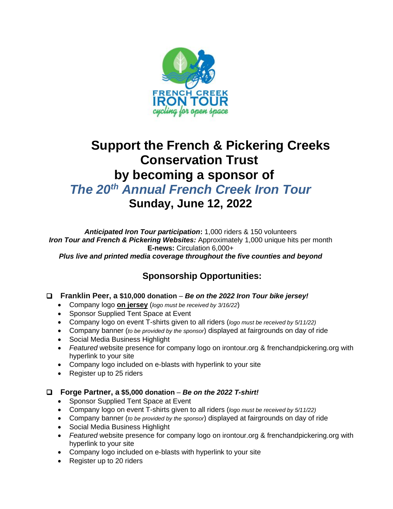

## **Support the French & Pickering Creeks Conservation Trust by becoming a sponsor of** *The 20th Annual French Creek Iron Tour* **Sunday, June 12, 2022**

*Anticipated Iron Tour participation***:** 1,000 riders & 150 volunteers *Iron Tour and French & Pickering Websites:* Approximately 1,000 unique hits per month **E-news:** Circulation 6,000+ *Plus live and printed media coverage throughout the five counties and beyond*

### **Sponsorship Opportunities:**

#### ❑ **Franklin Peer, a \$10,000 donation** – *Be on the 2022 Iron Tour bike jersey!*

- Company logo **on jersey** (*logo must be received by 3/16/22*)
- Sponsor Supplied Tent Space at Event
- Company logo on event T-shirts given to all riders (*logo must be received by 5/11/22)*
- Company banner (*to be provided by the sponsor*) displayed at fairgrounds on day of ride
- Social Media Business Highlight
- *Featured* website presence for company logo on irontour.org & frenchandpickering.org with hyperlink to your site
- Company logo included on e-blasts with hyperlink to your site
- Register up to 25 riders

#### ❑ **Forge Partner, a \$5,000 donation** – *Be on the 2022 T-shirt!*

- Sponsor Supplied Tent Space at Event
- Company logo on event T-shirts given to all riders (*logo must be received by 5/11/22)*
- Company banner (*to be provided by the sponsor*) displayed at fairgrounds on day of ride
- Social Media Business Highlight
- *Featured* website presence for company logo on irontour.org & frenchandpickering.org with hyperlink to your site
- Company logo included on e-blasts with hyperlink to your site
- Register up to 20 riders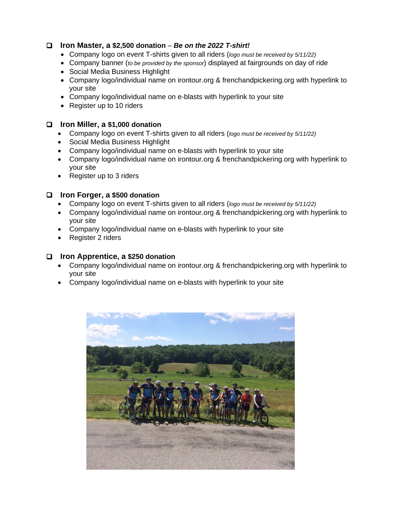#### ❑ **Iron Master, a \$2,500 donation** – *Be on the 2022 T-shirt!*

- Company logo on event T-shirts given to all riders (*logo must be received by 5/11/22)*
- Company banner (*to be provided by the sponsor*) displayed at fairgrounds on day of ride
- Social Media Business Highlight
- Company logo/individual name on irontour.org & frenchandpickering.org with hyperlink to your site
- Company logo/individual name on e-blasts with hyperlink to your site
- Register up to 10 riders

#### ❑ **Iron Miller, a \$1,000 donation**

- Company logo on event T-shirts given to all riders (*logo must be received by 5/11/22)*
- Social Media Business Highlight
- Company logo/individual name on e-blasts with hyperlink to your site
- Company logo/individual name on irontour.org & frenchandpickering.org with hyperlink to your site
- Register up to 3 riders

#### ❑ **Iron Forger, a \$500 donation**

- Company logo on event T-shirts given to all riders (*logo must be received by 5/11/22)*
- Company logo/individual name on irontour.org & frenchandpickering.org with hyperlink to your site
- Company logo/individual name on e-blasts with hyperlink to your site
- Register 2 riders

#### ❑ **Iron Apprentice, a \$250 donation**

- Company logo/individual name on irontour.org & frenchandpickering.org with hyperlink to your site
- Company logo/individual name on e-blasts with hyperlink to your site